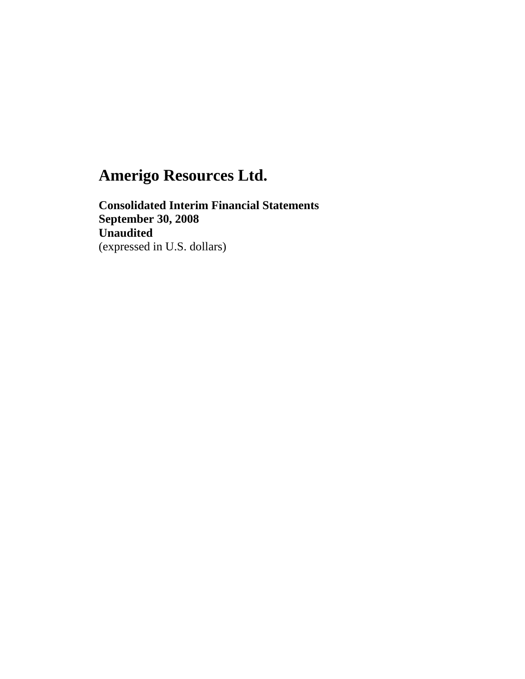**Consolidated Interim Financial Statements September 30, 2008 Unaudited**  (expressed in U.S. dollars)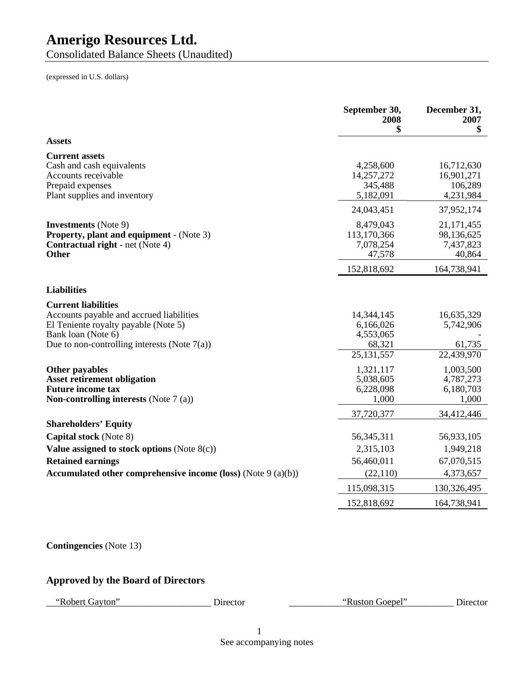Consolidated Balance Sheets (Unaudited)

(expressed in U.S. dollars)

| 4,258,600<br>14,257,272<br>345,488<br>5,182,091<br>24,043,451<br>8,479,043<br>113,170,366<br>7,078,254<br>47,578<br>152,818,692 | \$<br>16,712,630<br>16,901,271<br>106,289<br>4,231,984<br>37,952,174<br>21, 171, 455<br>98,136,625<br>7,437,823<br>40,864<br>164,738,941 |
|---------------------------------------------------------------------------------------------------------------------------------|------------------------------------------------------------------------------------------------------------------------------------------|
|                                                                                                                                 |                                                                                                                                          |
|                                                                                                                                 |                                                                                                                                          |
|                                                                                                                                 |                                                                                                                                          |
|                                                                                                                                 |                                                                                                                                          |
|                                                                                                                                 |                                                                                                                                          |
|                                                                                                                                 |                                                                                                                                          |
| 14,344,145<br>6,166,026<br>4,553,065<br>68,321<br>25, 131, 557                                                                  | 16,635,329<br>5,742,906<br>61,735<br>22,439,970                                                                                          |
| 1,321,117<br>5,038,605<br>6,228,098<br>1,000                                                                                    | 1,003,500<br>4,787,273<br>6,180,703<br>1,000                                                                                             |
|                                                                                                                                 | 34,412,446                                                                                                                               |
|                                                                                                                                 | 56,933,105                                                                                                                               |
| 2,315,103                                                                                                                       | 1,949,218                                                                                                                                |
| 56,460,011                                                                                                                      | 67,070,515                                                                                                                               |
| (22, 110)                                                                                                                       | 4,373,657                                                                                                                                |
|                                                                                                                                 | 130,326,495                                                                                                                              |
|                                                                                                                                 | 164,738,941                                                                                                                              |
|                                                                                                                                 | 37,720,377<br>56, 345, 311<br>115,098,315<br>152,818,692                                                                                 |

## **Contingencies** (Note 13)

## **Approved by the Board of Directors**

"Robert Gayton" Director

"Ruston Goepel" \_ \_\_\_\_\_\_\_\_\_ Director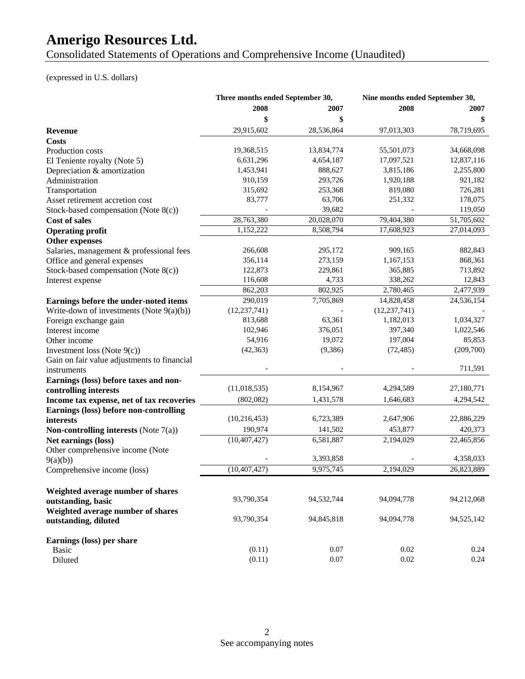Consolidated Statements of Operations and Comprehensive Income (Unaudited)

## (expressed in U.S. dollars)

|                                             | Three months ended September 30, |            | Nine months ended September 30, |            |
|---------------------------------------------|----------------------------------|------------|---------------------------------|------------|
|                                             | 2008                             | 2007       | 2008                            | 2007       |
|                                             | \$                               | \$         |                                 |            |
| Revenue                                     | 29,915,602                       | 28,536,864 | 97,013,303                      | 78,719,695 |
| Costs                                       |                                  |            |                                 |            |
| Production costs                            | 19,368,515                       | 13,834,774 | 55,501,073                      | 34,668,098 |
| El Teniente royalty (Note 5)                | 6,631,296                        | 4,654,187  | 17,097,521                      | 12,837,116 |
| Depreciation & amortization                 | 1,453,941                        | 888,627    | 3,815,186                       | 2,255,800  |
| Administration                              | 910,159                          | 293,726    | 1,920,188                       | 921,182    |
| Transportation                              | 315,692                          | 253,368    | 819,080                         | 726,281    |
| Asset retirement accretion cost             | 83,777                           | 63,706     | 251,332                         | 178,075    |
| Stock-based compensation (Note $8(c)$ )     |                                  | 39,682     |                                 | 119,050    |
| Cost of sales                               | 28,763,380                       | 20,028,070 | 79,404,380                      | 51,705,602 |
| <b>Operating profit</b>                     | 1,152,222                        | 8,508,794  | 17,608,923                      | 27,014,093 |
| Other expenses                              |                                  |            |                                 |            |
| Salaries, management & professional fees    | 266,608                          | 295,172    | 909,165                         | 882,843    |
| Office and general expenses                 | 356,114                          | 273,159    | 1,167,153                       | 868,361    |
| Stock-based compensation (Note 8(c))        | 122,873                          | 229,861    | 365,885                         | 713,892    |
| Interest expense                            | 116,608                          | 4,733      | 338,262                         | 12,843     |
|                                             | 862,203                          | 802,925    | 2,780,465                       | 2,477,939  |
| Earnings before the under-noted items       | 290,019                          | 7,705,869  | 14,828,458                      | 24,536,154 |
| Write-down of investments (Note $9(a)(b)$ ) | (12, 237, 741)                   |            | (12, 237, 741)                  |            |
| Foreign exchange gain                       | 813,688                          | 63,361     | 1,182,013                       | 1,034,327  |
| Interest income                             | 102,946                          | 376,051    | 397,340                         | 1,022,546  |
| Other income                                | 54,916                           | 19,072     | 197,004                         | 85,853     |
| Investment loss (Note $9(c)$ )              | (42, 363)                        | (9, 386)   | (72, 485)                       | (209,700)  |
| Gain on fair value adjustments to financial |                                  |            |                                 |            |
| instruments                                 |                                  |            |                                 | 711,591    |
| Earnings (loss) before taxes and non-       |                                  |            |                                 |            |
| controlling interests                       | (11,018,535)                     | 8,154,967  | 4,294,589                       | 27,180,771 |
| Income tax expense, net of tax recoveries   | (802, 082)                       | 1,431,578  | 1,646,683                       | 4,294,542  |
| Earnings (loss) before non-controlling      |                                  |            |                                 |            |
| interests                                   | (10, 216, 453)                   | 6,723,389  | 2,647,906                       | 22,886,229 |
| Non-controlling interests (Note $7(a)$ )    | 190,974                          | 141,502    | 453,877                         | 420,373    |
| Net earnings (loss)                         | (10, 407, 427)                   | 6,581,887  | 2,194,029                       | 22,465,856 |
| Other comprehensive income (Note            |                                  |            |                                 |            |
| 9(a)(b))                                    |                                  | 3,393,858  |                                 | 4,358,033  |
| Comprehensive income (loss)                 | (10, 407, 427)                   | 9,975,745  | 2,194,029                       | 26,823,889 |
|                                             |                                  |            |                                 |            |
| Weighted average number of shares           |                                  |            |                                 |            |
| outstanding, basic                          | 93,790,354                       | 94,532,744 | 94,094,778                      | 94,212,068 |
| Weighted average number of shares           |                                  |            |                                 |            |
| outstanding, diluted                        | 93,790,354                       | 94,845,818 | 94,094,778                      | 94,525,142 |
| Earnings (loss) per share                   |                                  |            |                                 |            |
| Basic                                       | (0.11)                           | 0.07       | 0.02                            | 0.24       |
| Diluted                                     | (0.11)                           | 0.07       | 0.02                            | 0.24       |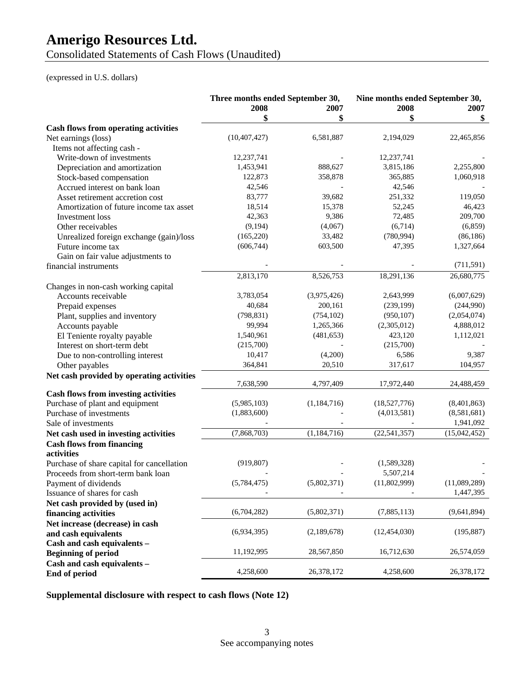Consolidated Statements of Cash Flows (Unaudited)

#### (expressed in U.S. dollars)

|                                                            | Three months ended September 30, |               | Nine months ended September 30, |              |
|------------------------------------------------------------|----------------------------------|---------------|---------------------------------|--------------|
|                                                            | 2008                             | 2007          | 2008                            | 2007         |
|                                                            | \$                               | \$            |                                 | \$           |
| <b>Cash flows from operating activities</b>                |                                  |               |                                 |              |
| Net earnings (loss)                                        | (10, 407, 427)                   | 6,581,887     | 2,194,029                       | 22,465,856   |
| Items not affecting cash -                                 |                                  |               |                                 |              |
| Write-down of investments                                  | 12,237,741                       |               | 12,237,741                      |              |
| Depreciation and amortization                              | 1,453,941                        | 888,627       | 3,815,186                       | 2,255,800    |
| Stock-based compensation                                   | 122,873                          | 358,878       | 365,885                         | 1,060,918    |
| Accrued interest on bank loan                              | 42,546                           |               | 42,546                          |              |
| Asset retirement accretion cost                            | 83,777                           | 39,682        | 251,332                         | 119,050      |
| Amortization of future income tax asset                    | 18,514                           | 15,378        | 52,245                          | 46,423       |
| Investment loss                                            | 42,363                           | 9,386         | 72,485                          | 209,700      |
| Other receivables                                          | (9,194)                          | (4,067)       | (6,714)                         | (6, 859)     |
| Unrealized foreign exchange (gain)/loss                    | (165, 220)                       | 33,482        | (780, 994)                      | (86, 186)    |
| Future income tax                                          | (606, 744)                       | 603,500       | 47,395                          | 1,327,664    |
| Gain on fair value adjustments to                          |                                  |               |                                 |              |
| financial instruments                                      |                                  |               |                                 | (711, 591)   |
|                                                            | 2,813,170                        | 8,526,753     | 18,291,136                      | 26,680,775   |
| Changes in non-cash working capital                        |                                  |               |                                 |              |
| Accounts receivable                                        | 3,783,054                        | (3,975,426)   | 2,643,999                       | (6,007,629)  |
| Prepaid expenses                                           | 40,684                           | 200,161       | (239, 199)                      | (244,990)    |
| Plant, supplies and inventory                              | (798, 831)                       | (754, 102)    | (950, 107)                      | (2,054,074)  |
| Accounts payable                                           | 99,994                           | 1,265,366     | (2,305,012)                     | 4,888,012    |
| El Teniente royalty payable                                | 1,540,961                        | (481, 653)    | 423,120                         | 1,112,021    |
| Interest on short-term debt                                | (215,700)                        |               | (215,700)                       |              |
| Due to non-controlling interest                            | 10,417                           | (4,200)       | 6,586                           | 9,387        |
| Other payables                                             | 364,841                          | 20,510        | 317,617                         | 104,957      |
| Net cash provided by operating activities                  |                                  |               |                                 |              |
|                                                            | 7,638,590                        | 4,797,409     | 17,972,440                      | 24,488,459   |
| <b>Cash flows from investing activities</b>                |                                  |               |                                 |              |
| Purchase of plant and equipment                            | (5,985,103)                      | (1,184,716)   | (18,527,776)                    | (8,401,863)  |
| Purchase of investments                                    | (1,883,600)                      |               | (4,013,581)                     | (8,581,681)  |
| Sale of investments                                        |                                  |               |                                 | 1,941,092    |
| Net cash used in investing activities                      | (7,868,703)                      | (1, 184, 716) | (22, 541, 357)                  | (15,042,452) |
| <b>Cash flows from financing</b>                           |                                  |               |                                 |              |
| activities                                                 |                                  |               |                                 |              |
| Purchase of share capital for cancellation                 | (919, 807)                       |               | (1,589,328)                     |              |
|                                                            |                                  |               | 5,507,214                       |              |
| Proceeds from short-term bank loan<br>Payment of dividends | (5,784,475)                      | (5,802,371)   | (11,802,999)                    | (11,089,289) |
| Issuance of shares for cash                                |                                  |               |                                 | 1,447,395    |
|                                                            |                                  |               |                                 |              |
| Net cash provided by (used in)                             | (6,704,282)                      | (5,802,371)   | (7,885,113)                     | (9,641,894)  |
| financing activities                                       |                                  |               |                                 |              |
| Net increase (decrease) in cash                            | (6,934,395)                      |               |                                 | (195, 887)   |
| and cash equivalents                                       |                                  | (2,189,678)   | (12, 454, 030)                  |              |
| Cash and cash equivalents -                                |                                  |               |                                 |              |
| <b>Beginning of period</b>                                 | 11,192,995                       | 28,567,850    | 16,712,630                      | 26,574,059   |
| Cash and cash equivalents -                                |                                  |               |                                 |              |
| End of period                                              | 4,258,600                        | 26,378,172    | 4,258,600                       | 26,378,172   |

**Supplemental disclosure with respect to cash flows (Note 12)**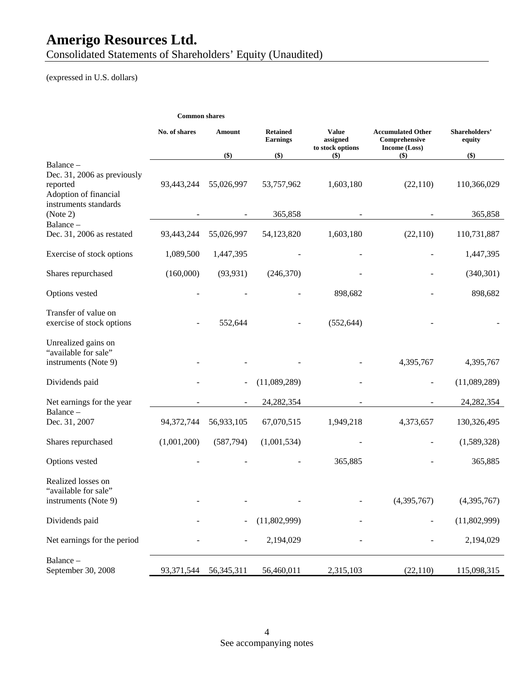Consolidated Statements of Shareholders' Equity (Unaudited)

(expressed in U.S. dollars)

|                                                                                           | <b>Common shares</b> |                |                                    |                                              |                                                            |                         |
|-------------------------------------------------------------------------------------------|----------------------|----------------|------------------------------------|----------------------------------------------|------------------------------------------------------------|-------------------------|
|                                                                                           | No. of shares        | Amount         | <b>Retained</b><br><b>Earnings</b> | <b>Value</b><br>assigned<br>to stock options | <b>Accumulated Other</b><br>Comprehensive<br>Income (Loss) | Shareholders'<br>equity |
| Balance -                                                                                 |                      | \$)            | $($)$                              | $($ \$)                                      | \$)                                                        | $($ \$)                 |
| Dec. 31, 2006 as previously<br>reported<br>Adoption of financial<br>instruments standards | 93,443,244           | 55,026,997     | 53,757,962                         | 1,603,180                                    | (22,110)                                                   | 110,366,029             |
| (Note 2)                                                                                  |                      |                | 365,858                            |                                              |                                                            | 365,858                 |
| Balance-<br>Dec. 31, 2006 as restated                                                     | 93,443,244           | 55,026,997     | 54,123,820                         | 1,603,180                                    | (22,110)                                                   | 110,731,887             |
| Exercise of stock options                                                                 | 1,089,500            | 1,447,395      |                                    |                                              |                                                            | 1,447,395               |
| Shares repurchased                                                                        | (160,000)            | (93, 931)      | (246,370)                          |                                              |                                                            | (340,301)               |
| Options vested                                                                            |                      |                |                                    | 898,682                                      |                                                            | 898,682                 |
| Transfer of value on<br>exercise of stock options                                         |                      | 552,644        |                                    | (552, 644)                                   |                                                            |                         |
| Unrealized gains on<br>"available for sale"<br>instruments (Note 9)                       |                      |                |                                    |                                              | 4,395,767                                                  | 4,395,767               |
| Dividends paid                                                                            |                      |                | (11,089,289)                       |                                              |                                                            | (11,089,289)            |
| Net earnings for the year                                                                 |                      | $\blacksquare$ | 24, 282, 354                       | $\blacksquare$                               |                                                            | 24, 282, 354            |
| Balance-<br>Dec. 31, 2007                                                                 | 94,372,744           | 56,933,105     | 67,070,515                         | 1,949,218                                    | 4,373,657                                                  | 130,326,495             |
| Shares repurchased                                                                        | (1,001,200)          | (587,794)      | (1,001,534)                        |                                              |                                                            | (1,589,328)             |
| Options vested                                                                            |                      |                |                                    | 365,885                                      |                                                            | 365,885                 |
| Realized losses on<br>"available for sale"<br>instruments (Note 9)                        |                      |                |                                    |                                              | (4,395,767)                                                | (4,395,767)             |
| Dividends paid                                                                            |                      |                | (11,802,999)                       |                                              |                                                            | (11,802,999)            |
| Net earnings for the period                                                               |                      |                | 2,194,029                          |                                              |                                                            | 2,194,029               |
| Balance-<br>September 30, 2008                                                            | 93,371,544           | 56,345,311     | 56,460,011                         | 2,315,103                                    | (22,110)                                                   | 115,098,315             |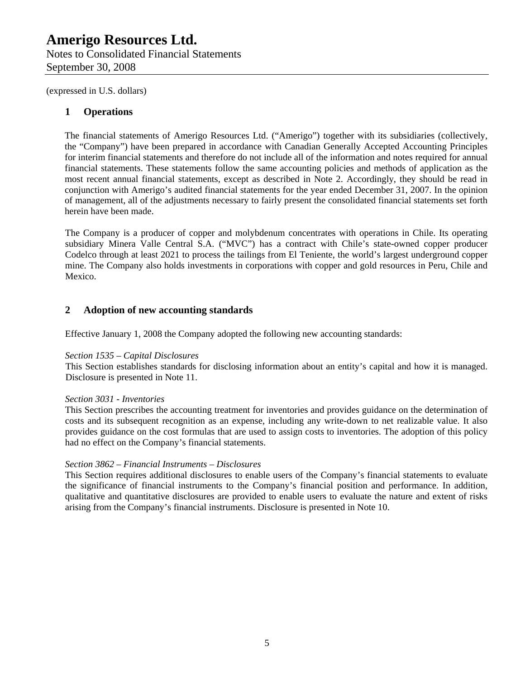## **Amerigo Resources Ltd.**  Notes to Consolidated Financial Statements September 30, 2008

(expressed in U.S. dollars)

### **1 Operations**

The financial statements of Amerigo Resources Ltd. ("Amerigo") together with its subsidiaries (collectively, the "Company") have been prepared in accordance with Canadian Generally Accepted Accounting Principles for interim financial statements and therefore do not include all of the information and notes required for annual financial statements. These statements follow the same accounting policies and methods of application as the most recent annual financial statements, except as described in Note 2. Accordingly, they should be read in conjunction with Amerigo's audited financial statements for the year ended December 31, 2007. In the opinion of management, all of the adjustments necessary to fairly present the consolidated financial statements set forth herein have been made.

The Company is a producer of copper and molybdenum concentrates with operations in Chile. Its operating subsidiary Minera Valle Central S.A. ("MVC") has a contract with Chile's state-owned copper producer Codelco through at least 2021 to process the tailings from El Teniente, the world's largest underground copper mine. The Company also holds investments in corporations with copper and gold resources in Peru, Chile and Mexico.

### **2 Adoption of new accounting standards**

Effective January 1, 2008 the Company adopted the following new accounting standards:

#### *Section 1535 – Capital Disclosures*

This Section establishes standards for disclosing information about an entity's capital and how it is managed. Disclosure is presented in Note 11.

#### *Section 3031 - Inventories*

This Section prescribes the accounting treatment for inventories and provides guidance on the determination of costs and its subsequent recognition as an expense, including any write-down to net realizable value. It also provides guidance on the cost formulas that are used to assign costs to inventories. The adoption of this policy had no effect on the Company's financial statements.

#### *Section 3862 – Financial Instruments – Disclosures*

This Section requires additional disclosures to enable users of the Company's financial statements to evaluate the significance of financial instruments to the Company's financial position and performance. In addition, qualitative and quantitative disclosures are provided to enable users to evaluate the nature and extent of risks arising from the Company's financial instruments. Disclosure is presented in Note 10.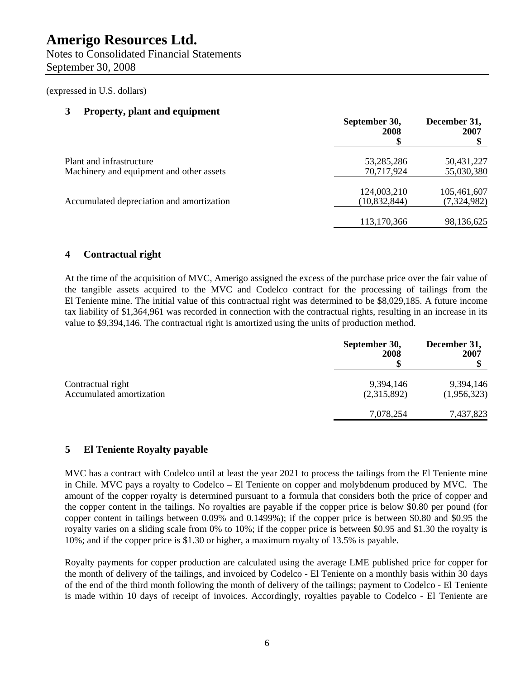(expressed in U.S. dollars)

#### **3 Property, plant and equipment**

|                                                                      | September 30,<br>2008         | December 31,<br>2007       |
|----------------------------------------------------------------------|-------------------------------|----------------------------|
| Plant and infrastructure<br>Machinery and equipment and other assets | 53,285,286<br>70,717,924      | 50,431,227<br>55,030,380   |
| Accumulated depreciation and amortization                            | 124,003,210<br>(10, 832, 844) | 105,461,607<br>(7,324,982) |
|                                                                      | 113,170,366                   | 98,136,625                 |

## **4 Contractual right**

At the time of the acquisition of MVC, Amerigo assigned the excess of the purchase price over the fair value of the tangible assets acquired to the MVC and Codelco contract for the processing of tailings from the El Teniente mine. The initial value of this contractual right was determined to be \$8,029,185. A future income tax liability of \$1,364,961 was recorded in connection with the contractual rights, resulting in an increase in its value to \$9,394,146. The contractual right is amortized using the units of production method.

|                                               | September 30,<br>2008    | December 31,<br>2007     |
|-----------------------------------------------|--------------------------|--------------------------|
| Contractual right<br>Accumulated amortization | 9,394,146<br>(2,315,892) | 9,394,146<br>(1,956,323) |
|                                               | 7,078,254                | 7,437,823                |

### **5 El Teniente Royalty payable**

MVC has a contract with Codelco until at least the year 2021 to process the tailings from the El Teniente mine in Chile. MVC pays a royalty to Codelco – El Teniente on copper and molybdenum produced by MVC. The amount of the copper royalty is determined pursuant to a formula that considers both the price of copper and the copper content in the tailings. No royalties are payable if the copper price is below \$0.80 per pound (for copper content in tailings between 0.09% and 0.1499%); if the copper price is between \$0.80 and \$0.95 the royalty varies on a sliding scale from 0% to 10%; if the copper price is between \$0.95 and \$1.30 the royalty is 10%; and if the copper price is \$1.30 or higher, a maximum royalty of 13.5% is payable.

Royalty payments for copper production are calculated using the average LME published price for copper for the month of delivery of the tailings, and invoiced by Codelco - El Teniente on a monthly basis within 30 days of the end of the third month following the month of delivery of the tailings; payment to Codelco - El Teniente is made within 10 days of receipt of invoices. Accordingly, royalties payable to Codelco - El Teniente are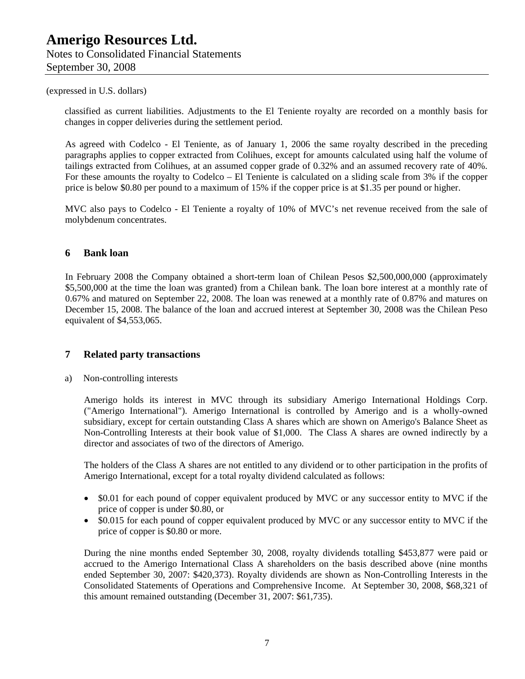classified as current liabilities. Adjustments to the El Teniente royalty are recorded on a monthly basis for changes in copper deliveries during the settlement period.

As agreed with Codelco - El Teniente, as of January 1, 2006 the same royalty described in the preceding paragraphs applies to copper extracted from Colihues, except for amounts calculated using half the volume of tailings extracted from Colihues, at an assumed copper grade of 0.32% and an assumed recovery rate of 40%. For these amounts the royalty to Codelco – El Teniente is calculated on a sliding scale from 3% if the copper price is below \$0.80 per pound to a maximum of 15% if the copper price is at \$1.35 per pound or higher.

MVC also pays to Codelco - El Teniente a royalty of 10% of MVC's net revenue received from the sale of molybdenum concentrates.

#### **6 Bank loan**

In February 2008 the Company obtained a short-term loan of Chilean Pesos \$2,500,000,000 (approximately \$5,500,000 at the time the loan was granted) from a Chilean bank. The loan bore interest at a monthly rate of 0.67% and matured on September 22, 2008. The loan was renewed at a monthly rate of 0.87% and matures on December 15, 2008. The balance of the loan and accrued interest at September 30, 2008 was the Chilean Peso equivalent of \$4,553,065.

#### **7 Related party transactions**

a) Non-controlling interests

Amerigo holds its interest in MVC through its subsidiary Amerigo International Holdings Corp. ("Amerigo International"). Amerigo International is controlled by Amerigo and is a wholly-owned subsidiary, except for certain outstanding Class A shares which are shown on Amerigo's Balance Sheet as Non-Controlling Interests at their book value of \$1,000. The Class A shares are owned indirectly by a director and associates of two of the directors of Amerigo.

The holders of the Class A shares are not entitled to any dividend or to other participation in the profits of Amerigo International, except for a total royalty dividend calculated as follows:

- \$0.01 for each pound of copper equivalent produced by MVC or any successor entity to MVC if the price of copper is under \$0.80, or
- \$0.015 for each pound of copper equivalent produced by MVC or any successor entity to MVC if the price of copper is \$0.80 or more.

During the nine months ended September 30, 2008, royalty dividends totalling \$453,877 were paid or accrued to the Amerigo International Class A shareholders on the basis described above (nine months ended September 30, 2007: \$420,373). Royalty dividends are shown as Non-Controlling Interests in the Consolidated Statements of Operations and Comprehensive Income. At September 30, 2008, \$68,321 of this amount remained outstanding (December 31, 2007: \$61,735).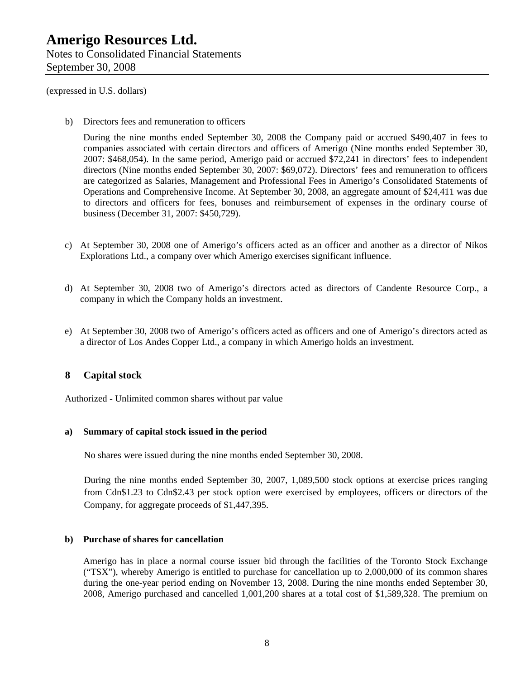(expressed in U.S. dollars)

b) Directors fees and remuneration to officers

During the nine months ended September 30, 2008 the Company paid or accrued \$490,407 in fees to companies associated with certain directors and officers of Amerigo (Nine months ended September 30, 2007: \$468,054). In the same period, Amerigo paid or accrued \$72,241 in directors' fees to independent directors (Nine months ended September 30, 2007: \$69,072). Directors' fees and remuneration to officers are categorized as Salaries, Management and Professional Fees in Amerigo's Consolidated Statements of Operations and Comprehensive Income. At September 30, 2008, an aggregate amount of \$24,411 was due to directors and officers for fees, bonuses and reimbursement of expenses in the ordinary course of business (December 31, 2007: \$450,729).

- c) At September 30, 2008 one of Amerigo's officers acted as an officer and another as a director of Nikos Explorations Ltd., a company over which Amerigo exercises significant influence.
- d) At September 30, 2008 two of Amerigo's directors acted as directors of Candente Resource Corp., a company in which the Company holds an investment.
- e) At September 30, 2008 two of Amerigo's officers acted as officers and one of Amerigo's directors acted as a director of Los Andes Copper Ltd., a company in which Amerigo holds an investment.

### **8 Capital stock**

Authorized - Unlimited common shares without par value

#### **a) Summary of capital stock issued in the period**

No shares were issued during the nine months ended September 30, 2008.

During the nine months ended September 30, 2007, 1,089,500 stock options at exercise prices ranging from Cdn\$1.23 to Cdn\$2.43 per stock option were exercised by employees, officers or directors of the Company, for aggregate proceeds of \$1,447,395.

#### **b) Purchase of shares for cancellation**

Amerigo has in place a normal course issuer bid through the facilities of the Toronto Stock Exchange ("TSX"), whereby Amerigo is entitled to purchase for cancellation up to 2,000,000 of its common shares during the one-year period ending on November 13, 2008. During the nine months ended September 30, 2008, Amerigo purchased and cancelled 1,001,200 shares at a total cost of \$1,589,328. The premium on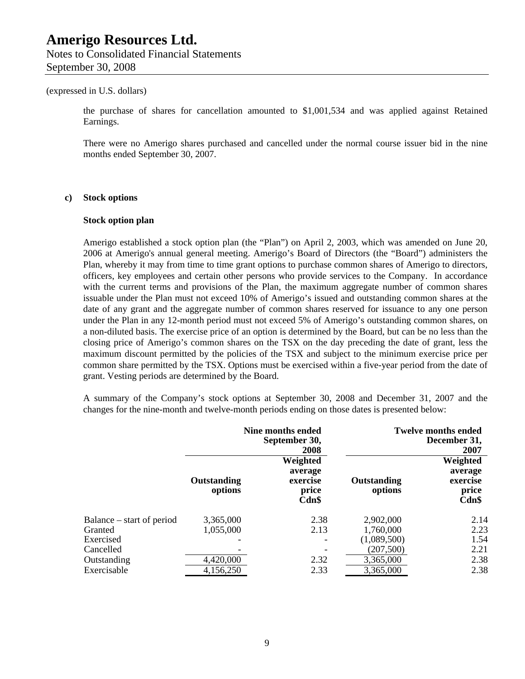#### (expressed in U.S. dollars)

the purchase of shares for cancellation amounted to \$1,001,534 and was applied against Retained Earnings.

There were no Amerigo shares purchased and cancelled under the normal course issuer bid in the nine months ended September 30, 2007.

#### **c) Stock options**

#### **Stock option plan**

Amerigo established a stock option plan (the "Plan") on April 2, 2003, which was amended on June 20, 2006 at Amerigo's annual general meeting. Amerigo's Board of Directors (the "Board") administers the Plan, whereby it may from time to time grant options to purchase common shares of Amerigo to directors, officers, key employees and certain other persons who provide services to the Company. In accordance with the current terms and provisions of the Plan, the maximum aggregate number of common shares issuable under the Plan must not exceed 10% of Amerigo's issued and outstanding common shares at the date of any grant and the aggregate number of common shares reserved for issuance to any one person under the Plan in any 12-month period must not exceed 5% of Amerigo's outstanding common shares, on a non-diluted basis. The exercise price of an option is determined by the Board, but can be no less than the closing price of Amerigo's common shares on the TSX on the day preceding the date of grant, less the maximum discount permitted by the policies of the TSX and subject to the minimum exercise price per common share permitted by the TSX. Options must be exercised within a five-year period from the date of grant. Vesting periods are determined by the Board.

A summary of the Company's stock options at September 30, 2008 and December 31, 2007 and the changes for the nine-month and twelve-month periods ending on those dates is presented below:

|                           | Nine months ended<br>September 30,<br>2008 |                                                   | <b>Twelve months ended</b><br>December 31,<br>2007 |                                                   |
|---------------------------|--------------------------------------------|---------------------------------------------------|----------------------------------------------------|---------------------------------------------------|
|                           | Outstanding<br>options                     | Weighted<br>average<br>exercise<br>price<br>Cdn\$ | Outstanding<br>options                             | Weighted<br>average<br>exercise<br>price<br>Cdn\$ |
| Balance – start of period | 3,365,000                                  | 2.38                                              | 2,902,000                                          | 2.14                                              |
| Granted                   | 1,055,000                                  | 2.13                                              | 1,760,000                                          | 2.23                                              |
| Exercised                 |                                            |                                                   | (1,089,500)                                        | 1.54                                              |
| Cancelled                 |                                            |                                                   | (207, 500)                                         | 2.21                                              |
| Outstanding               | 4,420,000                                  | 2.32                                              | 3,365,000                                          | 2.38                                              |
| Exercisable               | 4,156,250                                  | 2.33                                              | 3,365,000                                          | 2.38                                              |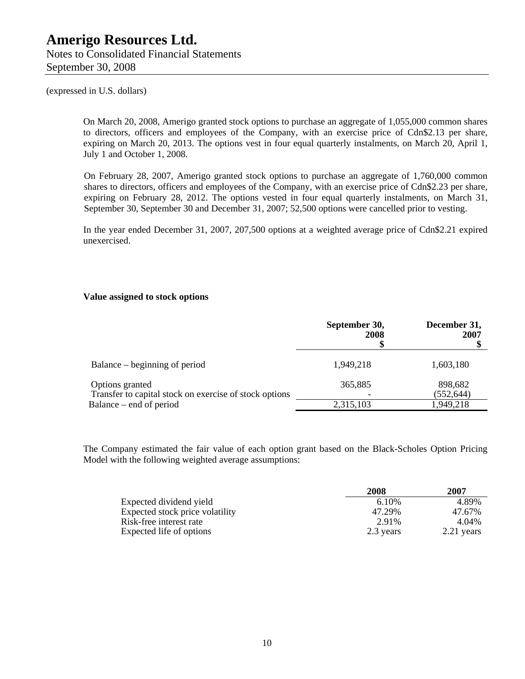(expressed in U.S. dollars)

On March 20, 2008, Amerigo granted stock options to purchase an aggregate of 1,055,000 common shares to directors, officers and employees of the Company, with an exercise price of Cdn\$2.13 per share, expiring on March 20, 2013. The options vest in four equal quarterly instalments, on March 20, April 1, July 1 and October 1, 2008.

On February 28, 2007, Amerigo granted stock options to purchase an aggregate of 1,760,000 common shares to directors, officers and employees of the Company, with an exercise price of Cdn\$2.23 per share, expiring on February 28, 2012. The options vested in four equal quarterly instalments, on March 31, September 30, September 30 and December 31, 2007; 52,500 options were cancelled prior to vesting.

In the year ended December 31, 2007, 207,500 options at a weighted average price of Cdn\$2.21 expired unexercised.

#### **Value assigned to stock options**

|                                                        | September 30,<br>2008 | December 31,<br>2007 |
|--------------------------------------------------------|-----------------------|----------------------|
| Balance – beginning of period                          | 1,949,218             | 1,603,180            |
| Options granted                                        | 365,885               | 898,682              |
| Transfer to capital stock on exercise of stock options |                       | (552, 644)           |
| Balance – end of period                                | 2,315,103             | 1,949,218            |

The Company estimated the fair value of each option grant based on the Black-Scholes Option Pricing Model with the following weighted average assumptions:

|                                 | 2008      | 2007       |
|---------------------------------|-----------|------------|
| Expected dividend yield         | 6.10%     | 4.89%      |
| Expected stock price volatility | 47.29%    | 47.67%     |
| Risk-free interest rate         | 2.91%     | 4.04%      |
| Expected life of options        | 2.3 years | 2.21 years |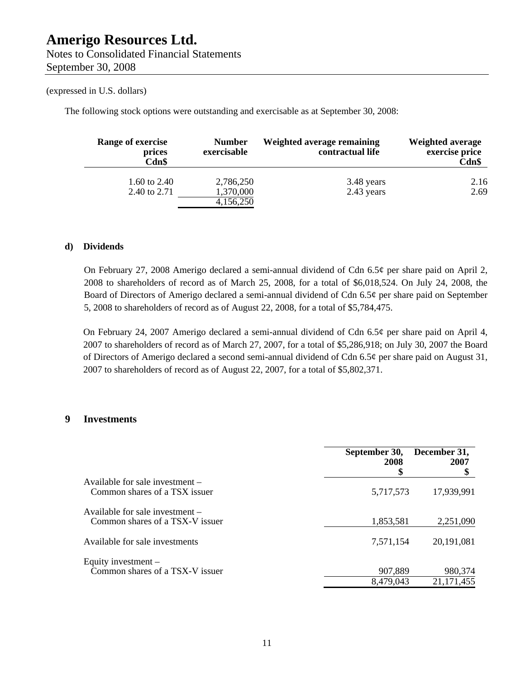The following stock options were outstanding and exercisable as at September 30, 2008:

| Range of exercise<br>prices<br>Cdn\$ | <b>Number</b><br>exercisable        | Weighted average remaining<br>contractual life | <b>Weighted average</b><br>exercise price<br>Cdn\$ |
|--------------------------------------|-------------------------------------|------------------------------------------------|----------------------------------------------------|
| 1.60 to 2.40<br>2.40 to 2.71         | 2,786,250<br>1,370,000<br>4,156,250 | 3.48 years<br>2.43 years                       | 2.16<br>2.69                                       |

#### **d) Dividends**

On February 27, 2008 Amerigo declared a semi-annual dividend of Cdn 6.5¢ per share paid on April 2, 2008 to shareholders of record as of March 25, 2008, for a total of \$6,018,524. On July 24, 2008, the Board of Directors of Amerigo declared a semi-annual dividend of Cdn 6.5¢ per share paid on September 5, 2008 to shareholders of record as of August 22, 2008, for a total of \$5,784,475.

On February 24, 2007 Amerigo declared a semi-annual dividend of Cdn 6.5¢ per share paid on April 4, 2007 to shareholders of record as of March 27, 2007, for a total of \$5,286,918; on July 30, 2007 the Board of Directors of Amerigo declared a second semi-annual dividend of Cdn 6.5 $\varphi$  per share paid on August 31, 2007 to shareholders of record as of August 22, 2007, for a total of \$5,802,371.

#### **9 Investments**

|                                                                    | September 30,<br>2008<br>S | December 31,<br>2007  |
|--------------------------------------------------------------------|----------------------------|-----------------------|
| Available for sale investment -<br>Common shares of a TSX issuer   | 5,717,573                  | 17,939,991            |
| Available for sale investment –<br>Common shares of a TSX-V issuer | 1,853,581                  | 2,251,090             |
| Available for sale investments                                     | 7,571,154                  | 20,191,081            |
| Equity investment –<br>Common shares of a TSX-V issuer             | 907,889<br>8,479,043       | 980,374<br>21,171,455 |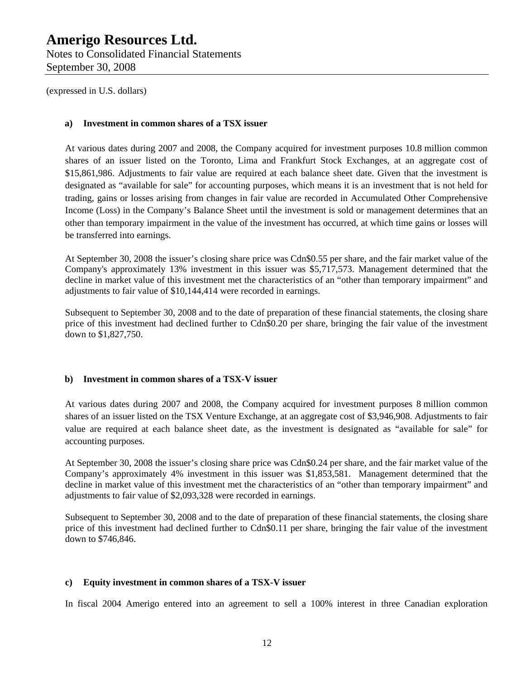Notes to Consolidated Financial Statements September 30, 2008

(expressed in U.S. dollars)

#### **a) Investment in common shares of a TSX issuer**

At various dates during 2007 and 2008, the Company acquired for investment purposes 10.8 million common shares of an issuer listed on the Toronto, Lima and Frankfurt Stock Exchanges, at an aggregate cost of \$15,861,986. Adjustments to fair value are required at each balance sheet date. Given that the investment is designated as "available for sale" for accounting purposes, which means it is an investment that is not held for trading, gains or losses arising from changes in fair value are recorded in Accumulated Other Comprehensive Income (Loss) in the Company's Balance Sheet until the investment is sold or management determines that an other than temporary impairment in the value of the investment has occurred, at which time gains or losses will be transferred into earnings.

At September 30, 2008 the issuer's closing share price was Cdn\$0.55 per share, and the fair market value of the Company's approximately 13% investment in this issuer was \$5,717,573. Management determined that the decline in market value of this investment met the characteristics of an "other than temporary impairment" and adjustments to fair value of \$10,144,414 were recorded in earnings.

Subsequent to September 30, 2008 and to the date of preparation of these financial statements, the closing share price of this investment had declined further to Cdn\$0.20 per share, bringing the fair value of the investment down to \$1,827,750.

#### **b) Investment in common shares of a TSX-V issuer**

At various dates during 2007 and 2008, the Company acquired for investment purposes 8 million common shares of an issuer listed on the TSX Venture Exchange, at an aggregate cost of \$3,946,908. Adjustments to fair value are required at each balance sheet date, as the investment is designated as "available for sale" for accounting purposes.

At September 30, 2008 the issuer's closing share price was Cdn\$0.24 per share, and the fair market value of the Company's approximately 4% investment in this issuer was \$1,853,581. Management determined that the decline in market value of this investment met the characteristics of an "other than temporary impairment" and adjustments to fair value of \$2,093,328 were recorded in earnings.

Subsequent to September 30, 2008 and to the date of preparation of these financial statements, the closing share price of this investment had declined further to Cdn\$0.11 per share, bringing the fair value of the investment down to \$746,846.

#### **c) Equity investment in common shares of a TSX-V issuer**

In fiscal 2004 Amerigo entered into an agreement to sell a 100% interest in three Canadian exploration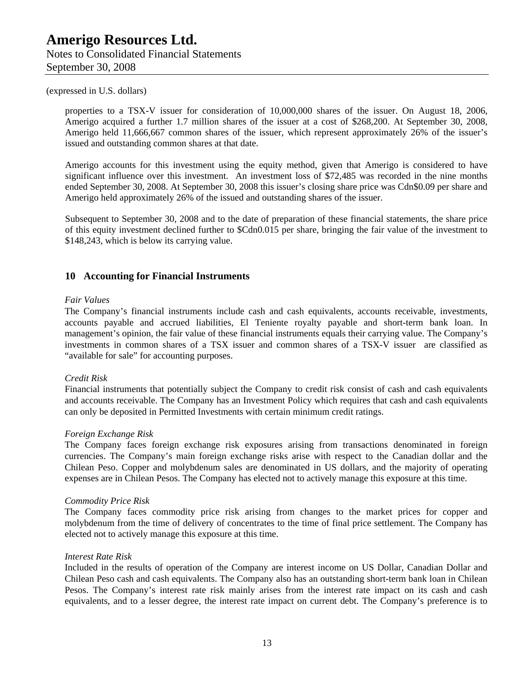properties to a TSX-V issuer for consideration of 10,000,000 shares of the issuer. On August 18, 2006, Amerigo acquired a further 1.7 million shares of the issuer at a cost of \$268,200. At September 30, 2008, Amerigo held 11,666,667 common shares of the issuer, which represent approximately 26% of the issuer's issued and outstanding common shares at that date.

Amerigo accounts for this investment using the equity method, given that Amerigo is considered to have significant influence over this investment. An investment loss of \$72,485 was recorded in the nine months ended September 30, 2008. At September 30, 2008 this issuer's closing share price was Cdn\$0.09 per share and Amerigo held approximately 26% of the issued and outstanding shares of the issuer.

Subsequent to September 30, 2008 and to the date of preparation of these financial statements, the share price of this equity investment declined further to \$Cdn0.015 per share, bringing the fair value of the investment to \$148,243, which is below its carrying value.

#### **10 Accounting for Financial Instruments**

#### *Fair Values*

The Company's financial instruments include cash and cash equivalents, accounts receivable, investments, accounts payable and accrued liabilities, El Teniente royalty payable and short-term bank loan. In management's opinion, the fair value of these financial instruments equals their carrying value. The Company's investments in common shares of a TSX issuer and common shares of a TSX-V issuer are classified as "available for sale" for accounting purposes.

#### *Credit Risk*

Financial instruments that potentially subject the Company to credit risk consist of cash and cash equivalents and accounts receivable. The Company has an Investment Policy which requires that cash and cash equivalents can only be deposited in Permitted Investments with certain minimum credit ratings.

#### *Foreign Exchange Risk*

The Company faces foreign exchange risk exposures arising from transactions denominated in foreign currencies. The Company's main foreign exchange risks arise with respect to the Canadian dollar and the Chilean Peso. Copper and molybdenum sales are denominated in US dollars, and the majority of operating expenses are in Chilean Pesos. The Company has elected not to actively manage this exposure at this time.

#### *Commodity Price Risk*

The Company faces commodity price risk arising from changes to the market prices for copper and molybdenum from the time of delivery of concentrates to the time of final price settlement. The Company has elected not to actively manage this exposure at this time.

#### *Interest Rate Risk*

Included in the results of operation of the Company are interest income on US Dollar, Canadian Dollar and Chilean Peso cash and cash equivalents. The Company also has an outstanding short-term bank loan in Chilean Pesos. The Company's interest rate risk mainly arises from the interest rate impact on its cash and cash equivalents, and to a lesser degree, the interest rate impact on current debt. The Company's preference is to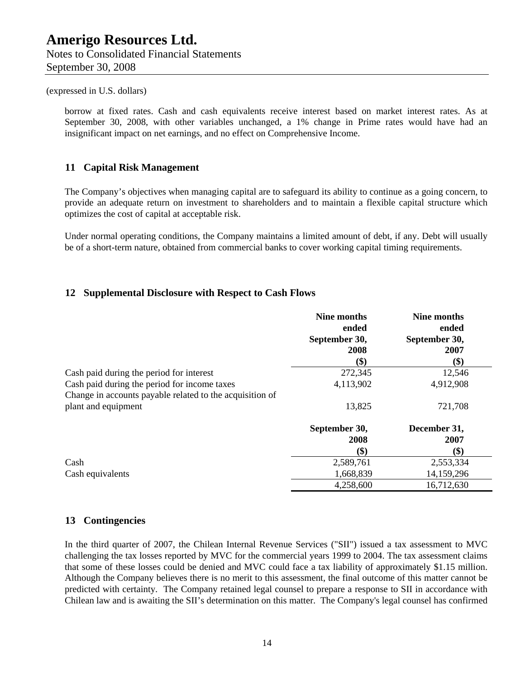borrow at fixed rates. Cash and cash equivalents receive interest based on market interest rates. As at September 30, 2008, with other variables unchanged, a 1% change in Prime rates would have had an insignificant impact on net earnings, and no effect on Comprehensive Income.

#### **11 Capital Risk Management**

The Company's objectives when managing capital are to safeguard its ability to continue as a going concern, to provide an adequate return on investment to shareholders and to maintain a flexible capital structure which optimizes the cost of capital at acceptable risk.

Under normal operating conditions, the Company maintains a limited amount of debt, if any. Debt will usually be of a short-term nature, obtained from commercial banks to cover working capital timing requirements.

#### **12 Supplemental Disclosure with Respect to Cash Flows**

|                                                          | Nine months                    | Nine months                    |
|----------------------------------------------------------|--------------------------------|--------------------------------|
|                                                          | ended<br>September 30,<br>2008 | ended<br>September 30,<br>2007 |
|                                                          | \$)                            | \$)                            |
| Cash paid during the period for interest                 | 272,345                        | 12,546                         |
| Cash paid during the period for income taxes             | 4,113,902                      | 4,912,908                      |
| Change in accounts payable related to the acquisition of |                                |                                |
| plant and equipment                                      | 13,825                         | 721,708                        |
|                                                          | September 30,                  | December 31,                   |
|                                                          | 2008                           | 2007                           |
|                                                          | \$)                            | \$)                            |
| Cash                                                     | 2,589,761                      | 2,553,334                      |
| Cash equivalents                                         | 1,668,839                      | 14,159,296                     |
|                                                          | 4,258,600                      | 16,712,630                     |

#### **13 Contingencies**

In the third quarter of 2007, the Chilean Internal Revenue Services ("SII") issued a tax assessment to MVC challenging the tax losses reported by MVC for the commercial years 1999 to 2004. The tax assessment claims that some of these losses could be denied and MVC could face a tax liability of approximately \$1.15 million. Although the Company believes there is no merit to this assessment, the final outcome of this matter cannot be predicted with certainty. The Company retained legal counsel to prepare a response to SII in accordance with Chilean law and is awaiting the SII's determination on this matter. The Company's legal counsel has confirmed